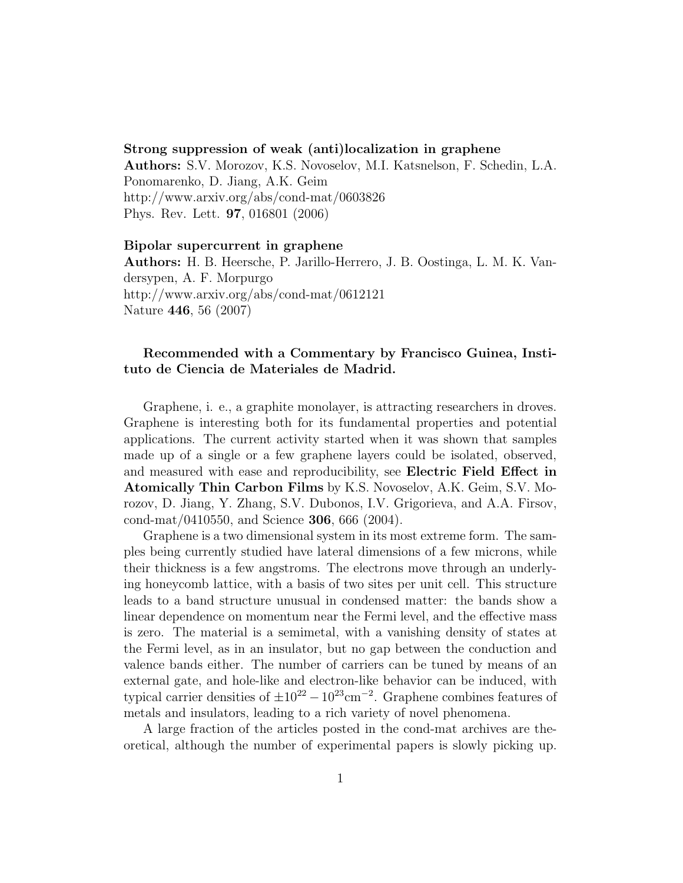## Strong suppression of weak (anti)localization in graphene

Authors: S.V. Morozov, K.S. Novoselov, M.I. Katsnelson, F. Schedin, L.A. Ponomarenko, D. Jiang, A.K. Geim http://www.arxiv.org/abs/cond-mat/0603826 Phys. Rev. Lett. 97, 016801 (2006)

## Bipolar supercurrent in graphene

Authors: H. B. Heersche, P. Jarillo-Herrero, J. B. Oostinga, L. M. K. Vandersypen, A. F. Morpurgo http://www.arxiv.org/abs/cond-mat/0612121 Nature 446, 56 (2007)

## Recommended with a Commentary by Francisco Guinea, Instituto de Ciencia de Materiales de Madrid.

Graphene, i. e., a graphite monolayer, is attracting researchers in droves. Graphene is interesting both for its fundamental properties and potential applications. The current activity started when it was shown that samples made up of a single or a few graphene layers could be isolated, observed, and measured with ease and reproducibility, see Electric Field Effect in Atomically Thin Carbon Films by K.S. Novoselov, A.K. Geim, S.V. Morozov, D. Jiang, Y. Zhang, S.V. Dubonos, I.V. Grigorieva, and A.A. Firsov, cond-mat/0410550, and Science 306, 666 (2004).

Graphene is a two dimensional system in its most extreme form. The samples being currently studied have lateral dimensions of a few microns, while their thickness is a few angstroms. The electrons move through an underlying honeycomb lattice, with a basis of two sites per unit cell. This structure leads to a band structure unusual in condensed matter: the bands show a linear dependence on momentum near the Fermi level, and the effective mass is zero. The material is a semimetal, with a vanishing density of states at the Fermi level, as in an insulator, but no gap between the conduction and valence bands either. The number of carriers can be tuned by means of an external gate, and hole-like and electron-like behavior can be induced, with typical carrier densities of  $\pm 10^{22} - 10^{23}$ cm<sup>-2</sup>. Graphene combines features of metals and insulators, leading to a rich variety of novel phenomena.

A large fraction of the articles posted in the cond-mat archives are theoretical, although the number of experimental papers is slowly picking up.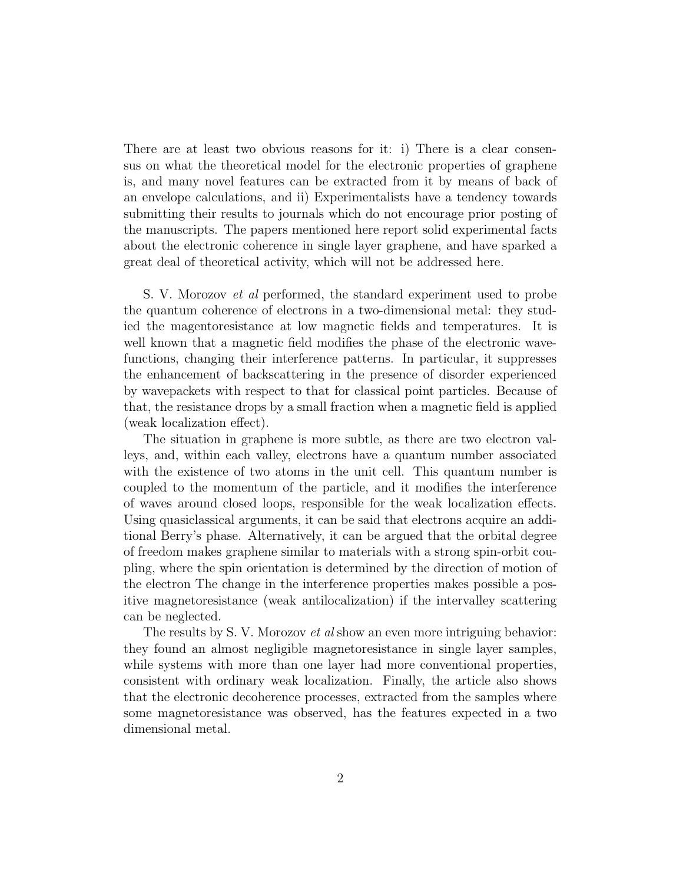There are at least two obvious reasons for it: i) There is a clear consensus on what the theoretical model for the electronic properties of graphene is, and many novel features can be extracted from it by means of back of an envelope calculations, and ii) Experimentalists have a tendency towards submitting their results to journals which do not encourage prior posting of the manuscripts. The papers mentioned here report solid experimental facts about the electronic coherence in single layer graphene, and have sparked a great deal of theoretical activity, which will not be addressed here.

S. V. Morozov et al performed, the standard experiment used to probe the quantum coherence of electrons in a two-dimensional metal: they studied the magentoresistance at low magnetic fields and temperatures. It is well known that a magnetic field modifies the phase of the electronic wavefunctions, changing their interference patterns. In particular, it suppresses the enhancement of backscattering in the presence of disorder experienced by wavepackets with respect to that for classical point particles. Because of that, the resistance drops by a small fraction when a magnetic field is applied (weak localization effect).

The situation in graphene is more subtle, as there are two electron valleys, and, within each valley, electrons have a quantum number associated with the existence of two atoms in the unit cell. This quantum number is coupled to the momentum of the particle, and it modifies the interference of waves around closed loops, responsible for the weak localization effects. Using quasiclassical arguments, it can be said that electrons acquire an additional Berry's phase. Alternatively, it can be argued that the orbital degree of freedom makes graphene similar to materials with a strong spin-orbit coupling, where the spin orientation is determined by the direction of motion of the electron The change in the interference properties makes possible a positive magnetoresistance (weak antilocalization) if the intervalley scattering can be neglected.

The results by S. V. Morozov *et al* show an even more intriguing behavior: they found an almost negligible magnetoresistance in single layer samples, while systems with more than one layer had more conventional properties, consistent with ordinary weak localization. Finally, the article also shows that the electronic decoherence processes, extracted from the samples where some magnetoresistance was observed, has the features expected in a two dimensional metal.